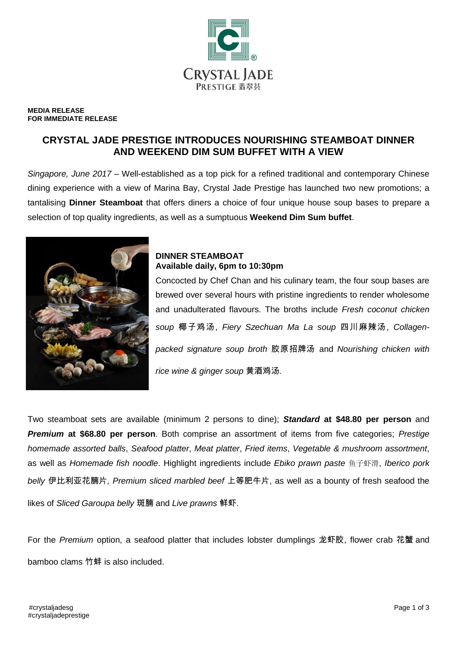

#### **MEDIA RELEASE FOR IMMEDIATE RELEASE**

# **CRYSTAL JADE PRESTIGE INTRODUCES NOURISHING STEAMBOAT DINNER AND WEEKEND DIM SUM BUFFET WITH A VIEW**

*Singapore, June 2017* – Well-established as a top pick for a refined traditional and contemporary Chinese dining experience with a view of Marina Bay, Crystal Jade Prestige has launched two new promotions; a tantalising **Dinner Steamboat** that offers diners a choice of four unique house soup bases to prepare a selection of top quality ingredients, as well as a sumptuous **Weekend Dim Sum buffet**.



## **DINNER STEAMBOAT Available daily, 6pm to 10:30pm**

Concocted by Chef Chan and his culinary team, the four soup bases are brewed over several hours with pristine ingredients to render wholesome and unadulterated flavours. The broths include *Fresh coconut chicken soup* 椰子鸡汤, *Fiery Szechuan Ma La soup* 四川麻辣汤, *Collagenpacked signature soup broth* 胶原招牌汤 and *Nourishing chicken with rice wine & ginger soup* 黄酒鸡汤*.*

Two steamboat sets are available (minimum 2 persons to dine); *Standard* **at \$48.80 per person** and *Premium* **at \$68.80 per person**. Both comprise an assortment of items from five categories; *Prestige homemade assorted balls*, *Seafood platter*, *Meat platter*, *Fried items*, *Vegetable & mushroom assortment*, as well as *Homemade fish noodle*. Highlight ingredients include *Ebiko prawn paste* 鱼子虾滑, *Iberico pork belly* 伊比利亚花腩片*, Premium sliced marbled beef* 上等肥牛片, as well as a bounty of fresh seafood the likes of *Sliced Garoupa belly* 斑腩 and *Live prawns* 鲜虾.

For the *Premium* option, a seafood platter that includes lobster dumplings 龙虾胶, flower crab 花蟹 and bamboo clams 竹蚌 is also included.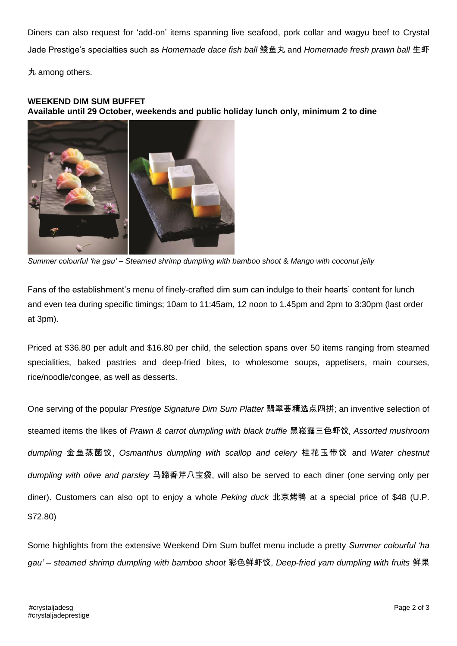Diners can also request for 'add-on' items spanning live seafood, pork collar and wagyu beef to Crystal Jade Prestige's specialties such as *Homemade dace fish ball* 鲮鱼丸 and *Homemade fresh prawn ball* 生虾 丸 among others.

### **WEEKEND DIM SUM BUFFET**

**Available until 29 October, weekends and public holiday lunch only, minimum 2 to dine**



*Summer colourful 'ha gau' – Steamed shrimp dumpling with bamboo shoot* & *Mango with coconut jelly*

Fans of the establishment's menu of finely-crafted dim sum can indulge to their hearts' content for lunch and even tea during specific timings; 10am to 11:45am, 12 noon to 1.45pm and 2pm to 3:30pm (last order at 3pm).

Priced at \$36.80 per adult and \$16.80 per child, the selection spans over 50 items ranging from steamed specialities, baked pastries and deep-fried bites, to wholesome soups, appetisers, main courses, rice/noodle/congee, as well as desserts.

One serving of the popular *Prestige Signature Dim Sum Platter* 翡翠荟精选点四拼; an inventive selection of steamed items the likes of *Prawn & carrot dumpling with black truffle* 黑崧露三色虾饺, *Assorted mushroom dumpling* 金鱼蒸菌饺, *Osmanthus dumpling with scallop and celery* 桂花玉带饺 and *Water chestnut dumpling with olive and parsley* 马蹄香芹八宝袋, will also be served to each diner (one serving only per diner). Customers can also opt to enjoy a whole *Peking duck* 北京烤鸭 at a special price of \$48 (U.P. \$72.80)

Some highlights from the extensive Weekend Dim Sum buffet menu include a pretty *Summer colourful 'ha gau' – steamed shrimp dumpling with bamboo shoot* 彩色鲜虾饺, *Deep-fried yam dumpling with fruits* 鲜果